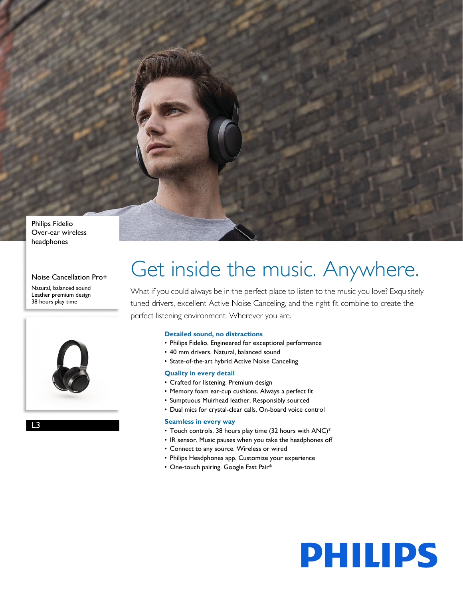

Philips Fidelio Over-ear wireless headphones

## Noise Cancellation Pro+

Natural, balanced sound Leather premium design 38 hours play time



L3

# Get inside the music. Anywhere.

What if you could always be in the perfect place to listen to the music you love? Exquisitely tuned drivers, excellent Active Noise Canceling, and the right fit combine to create the perfect listening environment. Wherever you are.

**PHILIPS** 

## **Detailed sound, no distractions**

- Philips Fidelio. Engineered for exceptional performance
- 40 mm drivers. Natural, balanced sound
- State-of-the-art hybrid Active Noise Canceling

## **Quality in every detail**

- Crafted for listening. Premium design
- Memory foam ear-cup cushions. Always a perfect fit
- Sumptuous Muirhead leather. Responsibly sourced
- Dual mics for crystal-clear calls. On-board voice control

## **Seamless in every way**

- Touch controls. 38 hours play time (32 hours with ANC)\*
- IR sensor. Music pauses when you take the headphones off
- Connect to any source. Wireless or wired
- Philips Headphones app. Customize your experience
- One-touch pairing. Google Fast Pair\*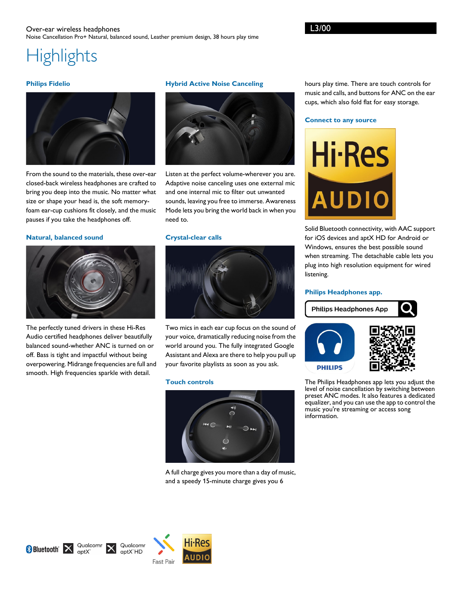## Over-ear wireless headphones Noise Cancellation Pro+ Natural, balanced sound, Leather premium design, 38 hours play time

## **Highlights**

## **Philips Fidelio**



From the sound to the materials, these over-ear closed-back wireless headphones are crafted to bring you deep into the music. No matter what size or shape your head is, the soft memoryfoam ear-cup cushions fit closely, and the music pauses if you take the headphones off.

## **Natural, balanced sound**



The perfectly tuned drivers in these Hi-Res Audio certified headphones deliver beautifully balanced sound-whether ANC is turned on or off. Bass is tight and impactful without being overpowering. Midrange frequencies are full and smooth. High frequencies sparkle with detail.

## **Hybrid Active Noise Canceling**



Listen at the perfect volume-wherever you are. Adaptive noise canceling uses one external mic and one internal mic to filter out unwanted sounds, leaving you free to immerse. Awareness Mode lets you bring the world back in when you need to.

## **Crystal-clear calls**



Two mics in each ear cup focus on the sound of your voice, dramatically reducing noise from the world around you. The fully integrated Google Assistant and Alexa are there to help you pull up your favorite playlists as soon as you ask.

#### **Touch controls**



A full charge gives you more than a day of music, and a speedy 15-minute charge gives you 6

hours play time. There are touch controls for music and calls, and buttons for ANC on the ear cups, which also fold flat for easy storage.

#### **Connect to any source**



Solid Bluetooth connectivity, with AAC support for iOS devices and aptX HD for Android or Windows, ensures the best possible sound when streaming. The detachable cable lets you plug into high resolution equipment for wired listening.

#### **Philips Headphones app.**



The Philips Headphones app lets you adjust the level of noise cancellation by switching between preset ANC modes. It also features a dedicated equalizer, and you can use the app to control the music you're streaming or access song information.